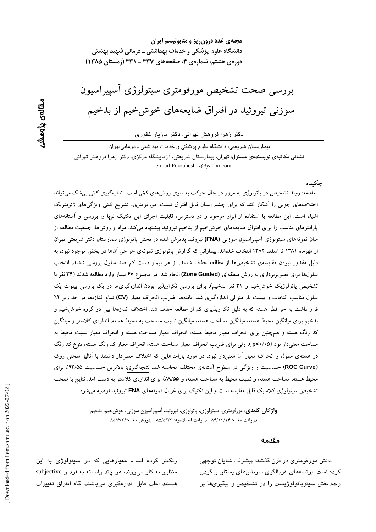مجلهی غدد درون ریز و متابولیسم ایران دانشگاه علوم پزشکی و خدمات بهداشتی ــ درمانی شهید بهشتی دورهی هشتم، شمارهی ۴، صفحههای ۳۳۷ ـ ۳۳۱ (زمستان ۱۳۸۵)

بررسی صحت تشخیص مورفومتری سیتولوژی آسییراسیون سوزنی تیروئید در افتراق ضایعههای خوشخیم از بدخیم

دکتر زهرا فروهش تهرانی، دکتر مازیار غفوری

بیمارستان شریعتی، دانشگاه علوم پزشکی و خدمات بهداشتی ـ درمانی تهران ن**شانی مکاتبهی نویسندهی مسئول**: تهران، بیمارستان شریعتی، آزمایشگاه مرکزی، دکتر زهرا فروهش تهرانی e-mail:Forouhesh\_z@yahoo.com

### چکىدە

مقدمه: روند تشخیص در پاتولوژی به مرور در حال حرکت به سوی روشهای کمّی است. اندازهگیری کمّی بیشک میتواند اختلاف های جزیبی را آشکار کند که برای چشم انسان قابل افتراق نیست. مورفومتری، تشریح کمّی ویژگیهای ژئومتریک اشیاء است. این مطالعه با استفاده از ابزار موجود و در دسترس، قابلیت اجرای این تکنیک نوپا را بررسی و آستانههای پارامترهای مناسب را برای افتراق ضایعههای خوشخیم از بدخیم تیروئید پیشنهاد میکند. مواد و روشها: جمعیت مطالعه از میان نمونههای سیتولوژی آسپیراسیون سوزنی (FNA) تیروئید پذیرش شده در بخش پاتولوژی بیمارستان دکتر شریعتی تهران از مهرماه ۱۳۸۱ تا اسفند ۱۳۸۲ انتخاب شدهاند. بیمارانی که گزارش پاتولوژی نمونهی جراحی آنها در بخش موجود نبود، به دلیل مقدور نبودن مقایسهی تشخیصها از مطالعه حذف شدند. از هر بیمار دست کم صد سلول بررسی شدند. انتخاب سلولها برای تصویربرداری به روش منطقهای (Zone Guided) انجام شد. در مجموع ۶۷ بیمار وارد مطالعه شدند (۳۶ نفر با تشخیص پاتولوژیک خوشخیم و ۳۱ نفر بدخیم). برای بررسی تکرارپذیر بودن اندازهگیریها در یک بررسی پیلوت یک سلول مناسب انتخاب و بیست بار متوالی اندازهگیری شد. یافتهها: ضریب انحراف معیار (CV) تمام اندازهها در حد زیر ۲٪ قرار داشت به جز قطر هسته که به دلیل تکرارپذیری کم از مطالعه حذف شد. اختلاف اندازهها بین دو گروه خوشخیم و بدخیم برای میانگین محیط هسته، میانگین مساحت هسته، میانگین نسبت مساحت به محیط هسته، اندازهی کلاستر و میانگین کد رنگ هسته و همچنین برای انحراف معیار محیط هسته، انحراف معیار مساحت هسته و انحراف معیار نسبت محیط به مساحت معنیدار بود (p<۰/۰۵)، ولی برای ضریب انحراف معیار مساحت هسته، انحراف معیار کد رنگ هسته، تنوع کد رنگ در هستهی سلول و انحراف معیار آن معنیدار نبود. در مورد پارامترهایی که اختلاف معنیدار داشتند با آنالیز منحنی روک (ROC Curve) حساسیت و ویژگی در سطوح آستانهی مختلف محاسبه شد. نتیجهگیری: بالاترین حساسیت ۹۳/۵۵٪ برای محیط هسته، مساحت هسته، و نسبت محیط به مساحت هسته، و ۸۹/۵۵٪ برای اندازهی کلاستر به دست آمد. نتایج با صحت تشخیص سپتولوژی کلاسیک قابل مقایسه است و این تکنیک برای غربال نمونههای FNA تیروئید توصیه می شود.

> **واژگان کلیدی**: مورفومتری، سیتولوژی، پاتولوژی، تیروئید، آسپیراسیون سوزنی، خوشخیم، بدخیم دريافت مقاله: ٨۴/١٢/١۴ ـ دريافت اصلاحيه: ٨٥/٥/٢٣ ـ يذيرش مقاله:٨٥/۶/٢۶

#### مقدمه

دانش مورفومتری در قرن گذشته پیشرفت شایان توجهی کرده است. برنامههای غربالگری سرطانهای پستان و گردن رحم نقش سیتوپاتولوژیست را در تشخیص و پیگیریها پر

رنگتر کرده است. معیارهایی که در سیتولوژی به این منظور به کار میروند، هر چند وابسته به فرد و subjective هستند اغلب قابل اندازهگیری میباشند. گاه افتراق تغییرات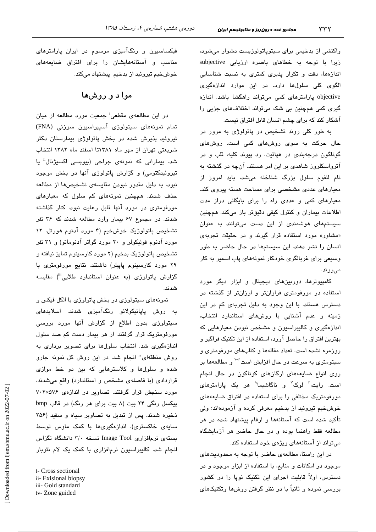واکنشی از بدخیمی برای سیتوپاتولوژیست دشوار میشود، زیرا با توجه به خطاهای باصره ارزیابی subjective اندازهها، دقت و تکرار پذیری کمتری به نسبت شناسایی الگوی کلی سلولها دارد. در این موارد اندازهگیری objective پارامترهای کمی میتواند راهگشا باشد. اندازه گیری کمی همچنین بی شک میتواند اختلافهای جزیی را آشکار کند که برای چشم انسان قابل افتراق نیست.

به طور کلی روند تشخیص در پاتولوژی به مرور در حال حرکت به سوی روشهای کمی است. روشهای گوناگون درجهبندی در هپاتیت، رد پیوند کلیه، قلب و در آترواسکلروز شاهدی بر این امر هستند. آنچه در گذشته به نام لنفوم سلول بزرگ شناخته می شد، باید امروز از معیارهای عددی مشخصی برای مساحت هسته پیروی کند. معیارهای کمی و عددی راه را برای بایگانی دراز مدت اطلاعات بیماران و کنترل کیفی دقیقتر باز میکند. همچنین سیستمهای هوشمندی از این دست میتوانند به عنوان «مشاور» مورد استفاده قرار گیرند و در حقیقت تجربهی انسان را نشر دهند. این سیستمها در حال حاضر به طور وسیعی برای غربالگری خودکار نمونههای پاپ اسمیر به کار مىروند.

کامپیوترها، دوربینهای دیجیتال و ابزار دیگر مورد استفاده در مورفومتری فراوانتر و ارزانتر از گذشته در دسترس هستند. با این وجود به دلیل تجربهی کم در این زمینه و عدم آشنایی با روشهای استاندارد انتخاب، اندازهگیری و کالیبراسیون و مشخص نبودن معیارهایی که بهترین افتراق را حاصل آورد، استفاده از این تکنیک فراگیر و روزمره نشده است. تعداد مقالهها و کتابهای مورفومتری و سیتومتری به سرعت در حال افزایش است<sup>۰-۰</sup> و مطالعهها بر روی انواع ضایعههای ارگانهای گوناگون در حال انجام است. رایت، ٔ لوک<sup>٬</sup> و ناگاشیما<sup>٬</sup> هر یک پارامتر*ه*ای مورفومتریک مختلفی را برای استفاده در افتراق ضایعههای خوشخیم تیروئید از بدخیم معرفی کرده و آزمودهاند؛ ولی تأکید شده است که آستانهها و ارقام پیشنهاد شده در هر مطالعه فقط راهنما بوده و در حال حاضر هر آزمایشگاه میتواند از آستانههای ویژهی خود استفاده کند.

در این راستا، مطالعهی حاضر با توجه به محدودیتهای موجود در امکانات و منابع، با استفاده از ابزار موجود و در دسترس، اولاً قابلیت اجرای این تکنیک نوپا را در کشور بررسی نموده و ثانیاً با در نظر گرفتن روشها وتکنیکهای

فیکساسیون و رنگآمیزی مرسوم در ایران پارامترهای .<br>مناسب و آستانههایشان را برای افتراق ضایعههای خوشخیم تیروئید از بدخیم پیشنهاد میکند.

## موا د و روشها

در این مطالعهی مقطعی<sup>:</sup> جمعیت مورد مطالعه از میان تمام نمونههای سیتولوژی آسپیراسیون سوزنی (FNA) تیروئید پذیرش شده در بخش پاتولوژی بیمارستان دکتر شریعتی تهران از مهر ماه ۱۳۸۱تا اسفند ماه ۱۳۸۲ انتخاب شد. بیمارانی که نمونهی جراحی (بیوپسی اکسیژنال<sup>ة</sup> یا تیروئیدکتومی) و گزارش پاتولوژی آنها در بخش موجود نبود، به دلیل مقدور نبودن مقایسهی تشخیصها از مطالعه حذف شدند. همچنین نمونههای کم سلول که معیارهای مورفومتری در مورد آنها قابل رعایت نبود، کنار گذاشته شدند. در مجموع ۶۷ بیمار وارد مطالعه شدند که ۳۶ نفر تشخیص پاتولوژیک خوشخیم (۴ مورد آدنوم هورتل، ۱۲ مورد آدنوم فولیکولر و ۲۰ مورد گواتر آدنوماتو) و ۳۱ نفر تشخيص پاتولوژيک بدخيم (۲ مورد کارسينوم تمايز نيافته و ۲۹ مورد کارسینوم پاپیلر) داشتند. نتایج مورفومتری با گزارش پاتولوژی (به عنوان استاندارد طلایی<sup>iii</sup>) مقایسه شدند.

نمونههای سیتولوژی در بخش پاتولوژی با الکل فیکس و به روش پاپانیکولائو رنگآمیزی شدند. اسلایدهای سیتولوژی بدون اطلاع از گزارش آنها مورد بررسی مورفومتریک قرار گرفتند. از هر بیمار دست کم صد سلول اندازهگیری شد. انتخاب سلولها برای تصویر برداری به روش منطقهای" انجام شد. در این روش کل نمونه جارو شده و سلولها و کلاسترهایی که بین دو خط موازی قراردادی (با فاصلهی مشخص و استاندارد) واقع میشدند، مورد سنجش قرار گرفتند. تصاویر در اندازهی ۷۰۴×۷۰ پیکسل رنگی ۲۴ بیت (۸ بیت برای هر رنگ) در قالب bmp ذخیره شدند. پس از تبدیل به تصاویر سیاه و سفید (۲۵۶ سایەی خاکستری)، اندازەگیری۱ه با کمک ماوس توسط بستهی نرمافزاری Image Tool نسخه ۳/۰ دانشگاه تگزاس انجام شد. کالیبراسیون نرمافزاری با کمک یک لام نئوبار

i- Cross sectional

ii- Exisional biopsy

iii- Gold standard

iv-Zone guided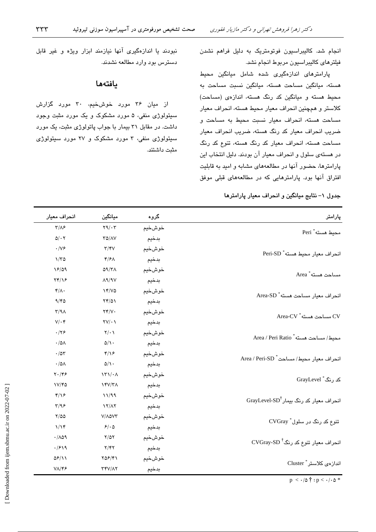انجام شد. کالیبراسیون فوتومتریک به دلیل فراهم نشدن فيلترهاي كاليبراسيون مربوط انجام نشد.

پارامترهای اندازهگیری شده شامل میانگین محیط هسته، میانگین مساحت هسته، میانگین نسبت مساحت به محیط هسته و میانگین کد رنگ هسته، اندازهی (مساحت) كلاستر و همچنين انحراف معيار محيط هسته، انحراف معيار مساحت هسته، انحراف معيار نسبت محيط به مساحت و ضريب انحراف معيار كد رنگ هسته، ضريب انحراف معيار مساحت هسته، انحراف معیار کد رنگ هسته، تنوع کد رنگ در هستهی سلول و انحراف معیار آن بودند. دلیل انتخاب این پارامترها، حضور آنها در مطالعههای مشابه و امید به قابلیت افتراق آنها بود. پارامترهایی که در مطالعههای قبلی موفق

نبودند یا اندازهگیری آنها نیازمند ابزار ویژه و غیر قابل دسترس بود وارد مطالعه نشدند.

### بافتهها

از میان ۳۶ مورد خوشخیم، ۳۰ مورد گزارش سيتولوژي منفي، ۵ مورد مشکوک و يک مورد مثبت وجود داشت. در مقابل ۳۱ بیمار با جواب پاتولوژی مثبت، یک مورد سیتولوژی منفی، ۳ مورد مشکوک و ۲۷ مورد سیتولوژی مثت داشتند.

جدول ١- نتايج ميانگين و انحراف معيار پارامترها

| پارامتر                                                       | گروه   | ميانگين                                   | انحراف معيار                      |
|---------------------------------------------------------------|--------|-------------------------------------------|-----------------------------------|
| محيط هسته * Peri                                              | خوشخيم | $\mathbf{Y}^{\mathbf{q}}/\cdot\mathbf{Y}$ | $\tau/\Lambda$ ۶                  |
|                                                               | بدخيم  | TO/AV                                     | $\Delta/\cdot$ $\Upsilon$         |
| انحراف معيار محيط هسته * Peri-SD                              | خوشخيم | $\tau/\tau$                               | $\cdot/\sqrt{2}$                  |
|                                                               | بدخيم  | $\mathcal{F}/\mathcal{F}$                 | $1/\tau$                          |
| مساحت هسته <sup>*</sup> Area                                  | خوشخيم | Q(1)                                      | 18/09                             |
|                                                               | بدخيم  | $\Lambda$ 9/9V                            | Yf/Y                              |
| انحراف معيار مساحت هسته * Area-SD                             | خوشخيم | Yf/VQ                                     | $f/\Lambda$ .                     |
|                                                               | بدخيم  | $Yf/\Delta Y$                             | 9/6                               |
| CV مساحت هسته* Area-CV                                        | خوشخيم | YY/V                                      | $\Upsilon/\Upsilon\Lambda$        |
|                                                               | بدخيم  | $\Upsilon V/\cdot V$                      | $V/\cdot$ ۴                       |
| Area / Peri Ratio * هسته                                      | خوشخيم | $Y/\cdot$                                 | .799                              |
|                                                               | بدخيم  | $\Delta/\Lambda$ .                        | $\cdot$ /0 $\wedge$               |
| انحراف معيار محيط/مساحت * Area / Peri-SD                      | خوشخيم | $\frac{4}{3}$                             | .705                              |
|                                                               | بدخيم  | $\Delta/\Lambda$ .                        | $\cdot/\Delta\Lambda$             |
| کد رنگ ٔ GrayLevel                                            | خوشخيم | $\Upsilon \Upsilon \setminus \Lambda$     | $\mathbf{Y} \cdot / \mathbf{Y}$ ۶ |
|                                                               | بدخيم  | $YY/Y/\gamma\Lambda$                      | V/FQ                              |
| انحراف معیار کد رنگ بیمار ${\rm GrayLevel\text{-}SD}^\dagger$ | خوشخيم | 11/99                                     | $f/\sqrt{2}$                      |
|                                                               | بدخيم  | 17/17                                     | $\tau/95$                         |
| تنوع کد رنگ در سلول ٔ CVGray                                  | خوشخيم | V/AQVT                                    | $Y/\Delta\Delta$                  |
|                                                               | بدخيم  | 9/6                                       | 1/15                              |
| $\text{CVGray-SD}^{\dagger}$ انحراف معیار تنوع کد رنگ         | خوشخيم | $Y/\Delta Y$                              | .709                              |
|                                                               | بدخيم  | Y/YY                                      | .7919                             |
| اندازەى كلاستر " Cluster                                      | خوشخيم | $Y\Delta F/Y$                             | $\Delta \mathcal{F}/\Delta$       |
|                                                               | بدخيم  | <b>TYV/17</b>                             | $V/\gamma$                        |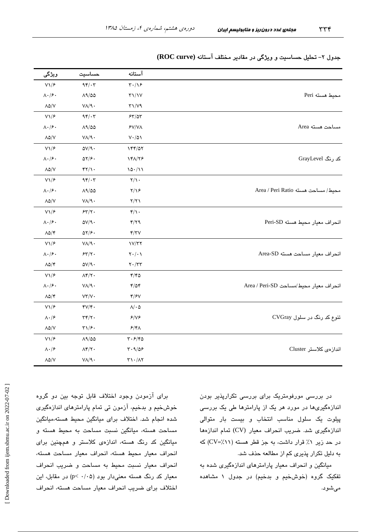|                                        | آستانه                                   |                                     |                                  |
|----------------------------------------|------------------------------------------|-------------------------------------|----------------------------------|
|                                        |                                          | حساسيت                              | ويژگى                            |
| محيط هسته Peri                         | $\mathbf{r} \cdot / \mathbf{v}$          | 94.7                                | $V\backslash/\mathcal{F}$        |
|                                        | $\Upsilon \Upsilon / \Upsilon$           | $\Lambda$ 9/00                      | $\Lambda \cdot / \mathcal{F}$ .  |
|                                        | $\Upsilon \Upsilon / V$ ۹                | $V/\sqrt{9}$ .                      | $\Lambda \Delta/V$               |
| مساحت هسته Area                        | 55/27                                    | 94.7                                | $V\Upsilon/\mathcal{F}$          |
|                                        | $\mathsf{FV}/\mathsf{V}\Lambda$          | $\Lambda$ 9/00                      | $\Lambda \cdot / \mathcal{F}$    |
|                                        | $V\cdot/\Delta$ \                        | $V/\sqrt{9}$ .                      | $\Lambda\Delta/V$                |
| کد رنگ GrayLevel                       | 144/07                                   | $\Delta V/\gamma$ .                 | $V\backslash/\mathcal{F}$        |
|                                        | 141/78                                   | $\Delta Y/F$                        | $\Lambda \cdot / \mathcal{F}$    |
|                                        | 10.111                                   | $\frac{4}{11}$                      | $\Lambda\Delta/\mathrm{V}$       |
| Area / Peri Ratio مصاحت هسته           | $\tau/\gamma$ .                          | 94.7                                | $V\1/\epsilon$                   |
|                                        | $Y/\gamma$                               | $\Lambda$ ۹/۵۵                      | $\Lambda \cdot / \mathcal{F}$    |
|                                        | Y/Y                                      | $V/\sqrt{9}$ .                      | $\Lambda \Delta/V$               |
| انحراف معيار محيط هسته Peri-SD         | $\mathfrak{r}/\mathfrak{r}$ .            | 55/7.                               | $V\backslash/\mathcal{F}$        |
|                                        | 4/79                                     | $\Delta V/\gamma$ .                 | $\Lambda \cdot / \epsilon \cdot$ |
|                                        | $\mathbf{f}/\mathbf{f}\mathbf{V}$        | $\Delta Y/F$                        | $\Lambda \Delta/\Upsilon$        |
| انحراف معيار مساحت هسته Area-SD        | 1V/T                                     | $V/\sqrt{9}$ .                      | $V\backslash/\mathcal{F}$        |
|                                        | $\mathbf{Y} \cdot / \cdot \mathbf{V}$    | 55/7.                               | $\Lambda \cdot / \mathcal{F}$ .  |
|                                        | $\mathbf{Y}\cdot/\mathbf{Y}\mathbf{Y}$   | $\Delta V/\Upsilon \cdot$           | $\Lambda \Delta/\mathfrak{r}$    |
| انحراف معيار محيط/مساحت Area / Peri-SD | ۴/۴۵                                     | $\Lambda$ ۴/۲۰                      | $V\1/\mathcal{F}$                |
|                                        | 4/04                                     | $V/\sqrt{9}$ .                      | $\Lambda \cdot / \mathcal{F}$ .  |
|                                        | $\mathfrak{r}/\mathfrak{r}$              | $VT/V$ .                            | $\Lambda \Delta/\mathfrak{r}$    |
| تنوع کد رنگ در سلول CVGray             | $\Lambda/\cdot$ $\Delta$                 | $\mathcal{Y}/\mathcal{Y}$ .         | $V\backslash/\mathcal{F}$        |
|                                        | 8/18                                     | $\mathbf{r}\mathbf{r}/\mathbf{r}$ . | $\Lambda \cdot / \mathcal{F}$    |
|                                        | $5/4\lambda$                             | $\Gamma \backslash /S$ .            | $\lambda\Delta/V$                |
| اندازەى كلاستر Cluster                 | $\mathbf{r} \cdot \mathbf{r}/\mathbf{r}$ | $\Lambda$ 1/00                      | $V\1/\epsilon$                   |
|                                        | T.9/09                                   | $\Lambda$ ۴/۲.                      | $\Lambda\cdot/\mathcal{F}$       |
|                                        | $\Upsilon\setminus\cdot/\Lambda\Upsilon$ | $V/\sqrt{9}$ .                      | $\Lambda \Delta/V$               |

ه ی هشتم، شمارهی ۴، زمستان ۱۳۸۵

جدول ۲– تحلیل حساسیت و ویژگی در مقادیر مختلف آستانه (ROC curve)

در ابر رسے مورفومتریک برای بررسے تکراریڈیر بودن انداز دگیری ها در مورد هر یک از بارامترها طل یک بررس*ت* بيلوت یک سلول مناسب انتخاب و بيست بار متوالي اندازهگیری شد. ضربب انحراف معبار (CV) تمام اندازهها در حد زیر ۱٪ قرار داشت، به جز قطر هسته (CV=⁄.۱۱) که به دلیل تکرار بذیری کم از مطالعه حذف شد.

میانگین و انحراف معیار پارامترهای اندازهگیری شده به تفکیک گروه (خوش خیم و بدخیم) در جدول ۱ مشاهده مے شود.

برای آزمودن وجود اختلاف قابل توجه بین دو گروه خوش خیم و بدخیم، آزمون تی تمام پارامترهای اندازهگیری شده انجام شد. اختلاف برای میانگین محیط هسته،میانگین مساحت هسته، میانگین نسبت مساحت به محیط هسته و مبانگین کد رنگ هسته، اندازه*ی* کلاستر و هجچنین برای انحراف معيار محيط هسته، انحراف معيار مساحت هسته، انحراف معيار نسبت محيط به مساحت و ضربب انحراف معیار کد رنگ هسته معنی دار بود (p< ۰/۰۵) در مقابل، این اختلاف براي ضربب انجراف معيار مساحت هسته، انجراف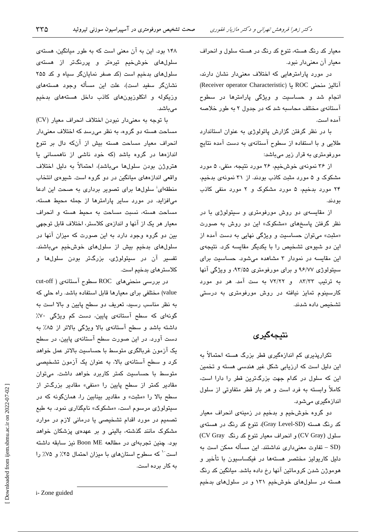معیار کد رنگ هسته، تنوع کد رنگ در هسته سلول و انحراف معيار آن معنى دار نيود.

در مورد پارامترهایی که اختلاف معنیدار نشان دارند، آنالیز منحنی ROC یا (Receiver operator Characteristic) انجام شد و حساسیت و ویژگی پارامترها در سطوح آستانهی مختلف محاسبه شد که در جدول ۲ به طور خلاصه آمده است.

با در نظر گرفتن گزارش پاتولوژی به عنوان استاندارد طلایی و با استفاده از سطوح آستانهی به دست آمده نتایج مورفومتری به قرار زیر میباشد:

از ۳۶ نمونهی خوشخیم، ۲۶ مورد نتیجه، منفی، ۵ مورد مشکوک و ۵ مورد مثبت کاذب بودند. از ۳۱ نمونهی بدخیم، ۲۴ مورد بدخیم، ۵ مورد مشکوک و ۲ مورد منفی کاذب ىو دند.

از مقایسهی دو روش مورفومتری و سیتولوژی با در نظر گرفتن پاسخهای «مشکوک» این دو روش به صورت «مثبت» میتوان حساسیت و ویژگی نهایی به دست آمده از این دو شیوهی تشخیص را با یکدیگر مقایسه کرد. نتیجهی این مقایسه در نمودار ۳ مشاهده میشود. حساسیت برای سیتولوژی ۹۶/۷۷ و برای مورفومتری ۹۳/۵۵، و ویژگی آنها به ترتیب ۸۳/۳۳ و ۷۲/۲۲ به ست آمد. هر دو مورد کارسینوم تمایز نیافته در روش مورفومتری به درستی تشخيص داده شدند.

## نتىجەگىرى

تکراریذیری کم اندازهگیری قطر بزرگ هسته احتمالاً به این دلیل است که ارزیابی شکل غیر هندسی هسته و تخمین این که سلول در کدام جهت بزرگترین قطر را دارا است، کاملاً وابسته به فرد است و هر بار قطر متفاوتی از سلول اندازهگیری می شود.

دو گروه خوشخیم و بدخیم در زمینهی انحراف معیار کد رنگ هسته (Gray Level-SD)، تنوع کد رنگ در هستهی سلول (CV Gray) و انحراف معیار تنوع کد رنگ CV Gray) (SD – تفاوت معنى دارى نداشتند. اين مسأله ممكن است به دلیل کاریولیز مختصر هستهها در فیکساسیون با تأخیر و هوموژن شدن کروماتین آنها رخ داده باشد. میانگین کد رنگ هسته در سلولهای خوشخیم ۱۳۱ و در سلولهای بدخیم

۱۴۸ بود. این به آن معنی است که به طور میانگین، هستهی سلولهای خوشخیم تیرهتر و پررنگتر از هستهی سلول های بدخیم است (کد صفر نمایانگر سیاه و کد ۲۵۵ نشانگر سفید است)، علت این مسأله وجود هستههای وزیکوله و انکلوزیونهای کانت داخل هستههای بدخیم مے باشد.

با توجه به معنى دار نبودن اختلاف انحراف معيار (CV) مساحت هسته دو گروه، به نظر میرسد که اختلاف معنیدار انحراف معیار مساحت هسته بیش از آنکه دال بر تنوع اندازهها در گروه باشد (که خود ناشی از ناهمسانی یا هتروژن بودن سلولها میباشد)، احتمالاً به دلیل اختلاف واقعی اندازههای میانگین در دو گروه است. شیوهی انتخاب منطقهای<sup>:</sup> سلولها برای تصویر برداری به صحت این ادعا میافزاید. در مورد سایر پارامترها از جمله محیط هسته، مساحت هسته، نسبت مساحت به محيط هسته و انحراف معیار هر یک از آنها و اندازهی کلاستر، اختلاف قابل توجهی بین دو گروه وجود دارد به این صورت که میزان آنها در سلول های بدخیم بیش از سلول های خوش خیم میباشند. تفسیر آن در سیتولوژی، بزرگتر بودن سلولها و كلاسترهاى بدخيم است.

در بررسی منحنیهای ROC سطوح آستانهی ( cut-off value) مختلفی برای معیارها قابل استفاده باشد. راه حلی که به نظر مناسب رسید، تعریف دو سطح پایین و بالا است به گونهای که سطح آستانهی پایین، دست کم ویژگی ۷۰٪ داشته باشد و سطح آستانهی بالا ویژگی بالاتر از ۸۵٪ به دست آورد. در این صورت سطح آستانهی پایین، در سطح یک آزمون غربالگری متوسط با حساسیت بالاتر عمل خواهد کرد و سطح آستانهی بالا، به عنوان یک آزمون تشخیصی متوسط با حساسیت کمتر کاربرد خواهد داشت. میتوان مقادیر کمتر از سطح پایین را «منفی» مقادیر بزرگتر از سطح بالا را «مثبت» و مقادیر بینابین را، همانگونه که در سپتولوژی مرسوم است، «مشکوک» نامگذاری نمود. به طبع تصمیم در مورد اقدام تشخیصی یا درمانی لازم در موارد مشکوک مانند گذشته، بالینی و بر عهدهی پزشکان خواهد بود. چنین تجربهای در مطالعه Boon ME نیز سابقه داشته است<sup>٠٠</sup> كه سطوح استانهاى با ميزان احتمال ٢۵٪ و ٧۵٪ را به کار برده است.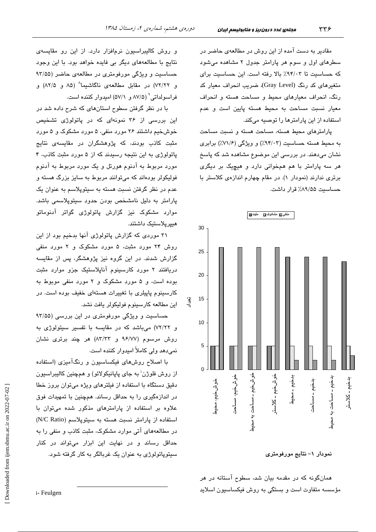مقادیر به دست آمده از این روش در مطالعهی حاضر در سطرهای اول و سوم هر پارامتر جدول ۲ مشاهده می شود که حساسیت تا ۹۴/۰۳٪ بالا رفته است. این حساسیت برای متغیرهای کد رنگ (Gray Level)، ضریب انحراف معیار کد رنگ، انحراف معیارهای محیط و مساحت هسته و انحراف معيار نسبت مساحت به محيط هسته پايين است و عدم استفاده از این پارامترها را توصیه میکند.

پارامترهای محیط هسته، مساحت هسته و نسبت مساحت به محیط هسته حساسیت (۹۴/۰۳٪) و ویژگی (۷۱/۶٪) برابری نشان میدهند. در بررسی این موضوع مشاهده شد که پاسخ هر سه پارامتر با هم همخوانی دارد و هیچیک بر دیگری برتری ندارند (نمودار ۱). در مقام چهارم اندازهی کلاستر با حساسیت ۸۹/۵۵٪ قرار داشت.



نمودار ١- نتايج مورفومتري

همانگونه که در مقدمه بیان شد، سطوح آستانه در هر مؤسسه متفاوت است و بستگی به روش فیکساسیون اسلاید

و روش کالیبراسیون نرمافزار دارد. از این رو مقایسهی نتایج با مطالعههای دیگر بی فایده خواهد بود. با این وجود حساسیت و ویژگی مورفومتری در مطالعهی حاضر (۹۳/۵۵ و ۷۲/۲۲) در مقابل مطالعهی ناگاشیما^ (۸۵ و ۸۲/۵) و فراسو لداتے (۵۷/۵ و. ۵۷/۱) امدو ار کنندہ است.

با در نظر گرفتن سطوح استانهای که شرح داده شد در این بررسی از ۳۶ نمونهای که در پاتولوژی تشخیص خوشخیم داشتند ۲۶ مورد منفی، ۵ مورد مشکوک و ۵ مورد مثبت کاذب بودند، که پژوهشگران در مقایسهی نتایج پاتولوژی به این نتیجه رسیدند که از ۵ مورد مثبت کاذب، ۴ مورد مربوط به آدنوم هورتل و یک مورد مربوط به آدنوم فوليکولر بودهاند که میتوانند مربوط به سايز بزرگ هسته و عدم در نظر گرفتن نسبت هسته به سیتوپلاسم به عنوان یک .<br>پارامتر به دلیل نامشخص بودن حدود سیتوپلاسم*ی* باشد. موارد مشکوک نیز گزارش پاتولوژی گواتر آدنوماتو ھىيرپلاستىك داشتند.

۳۱ موردی که گزارش پاتولوژی آنها بدخیم بود از این روش ۲۴ مورد مثبت، ۵ مورد مشکوک و ۲ مورد منفی گزارش شدند. در این گروه نیز پژوهشگر، پس از مقایسه دریافتند ۲ مورد کارسینوم آناپلاستیک جزو موارد مثبت بوده است، و ۵ مورد مشکوک و ۲ مورد منفی موبوط به کارسینوم پاپیلری با تغییرات هستهای خفیف بوده است. در این مطالعه کارسینوم فولیکولر یافت نشد.

حساسیت و ویژگی مورفومتری در این بررسی (۹۳/۵۵ و ۷۲/۲۲) میباشد که در مقایسه با تفسیر سیتولوژی به روش مرسوم (۹۶/۷۷ و ۸۳/۳۳) هر چند برتری نشان نمیدهد ولی کاملاً امیدوار کننده است.

با اصلاح روشهای فیکساسیون و رنگآمیزی (استفاده از روش فلوژن<sup>:</sup> به جای پاپانیکولائو) و همچنین کالیبراسیون دقیق دستگاه با استفاده از فیلترهای ویژه میتوان بروز خطا در اندازهگیری را به حداقل رساند. همچنین با تمهیدات فوق علاوه بر استفاده از پارامترهای مذکور شده میتوان با استفاده از یارامتر نسبت هسته به سیتویلاسم (N/C Ratio) در مطالعههای آتی موارد مشکوک، مثبت کاذب و منفی را به حداقل رساند و در نهایت این ابزار میتواند در کنار سپټوپاتولوژي به عنوان يک غربالگر به کار گرفته شود.

Downloaded from ijem.sbmu.ac.ir on 2022-07-02

i-Feulgen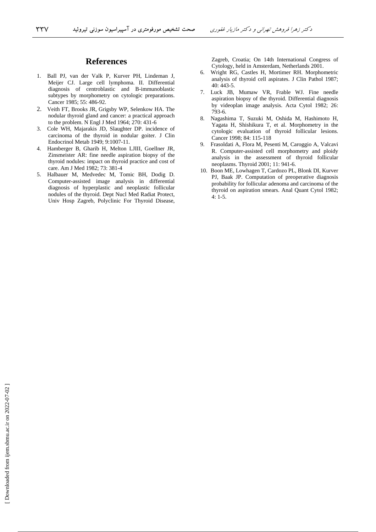## **References**

- 1. Ball PJ, van der Valk P, Kurver PH, Lindeman J, Meijer CJ. Large cell lymphoma. II. Differential diagnosis of centroblastic and B-immunoblastic subtypes by morphometry on cytologic preparations. Cancer 1985; 55: 486-92.
- 2. Veith FT, Brooks JR, Grigsby WP, Selenkow HA. The nodular thyroid gland and cancer: a practical approach to the problem. N Engl J Med 1964; 270: 431-6
- 3. Cole WH, Majarakis JD, Slaughter DP. incidence of carcinoma of the thyroid in nodular goiter. J Clin Endocrinol Metab 1949; 9:1007-11.
- 4. Hamberger B, Gharib H, Melton LJIII, Goellner JR, Zinsmeister AR: fine needle aspiration biopsy of the thyroid nodules: impact on thyroid practice and cost of care. Am J Med 1982; 73: 381-4
- 5. Halbauer M, Medvedec M, Tomic BH, Dodig D. Computer-assisted image analysis in differential diagnosis of hyperplastic and neoplastic follicular nodules of the thyroid. Dept Nucl Med Radiat Protect, Univ Hosp Zagreb, Polyclinic For Thyroid Disease,

Zagreb, Croatia; On 14th International Congress of Cytology, held in Amsterdam, Netherlands 2001.

- 6. Wright RG, Castles H, Mortimer RH. Morphometric analysis of thyroid cell aspirates. J Clin Pathol 1987; 40: 443-5.
- 7. Luck JB, Mumaw VR, Frable WJ. Fine needle aspiration biopsy of the thyroid. Differential diagnosis by videoplan image analysis. Acta Cytol 1982; 26: 793-6.
- 8. Nagashima T, Suzuki M, Oshida M, Hashimoto H, Yagata H, Shishikura T, et al. Morphometry in the cytologic evaluation of thyroid follicular lesions. Cancer 1998; 84: 115-118
- 9. Frasoldati A, Flora M, Pesenti M, Caroggio A, Valcavi R. Computer-assisted cell morphometry and ploidy analysis in the assessment of thyroid follicular neoplasms. Thyroid 2001; 11: 941-6.
- 10. Boon ME, Lowhagen T, Cardozo PL, Blonk DI, Kurver PJ, Baak JP. Computation of preoperative diagnosis probability for follicular adenoma and carcinoma of the thyroid on aspiration smears. Anal Quant Cytol 1982; 4: 1-5.